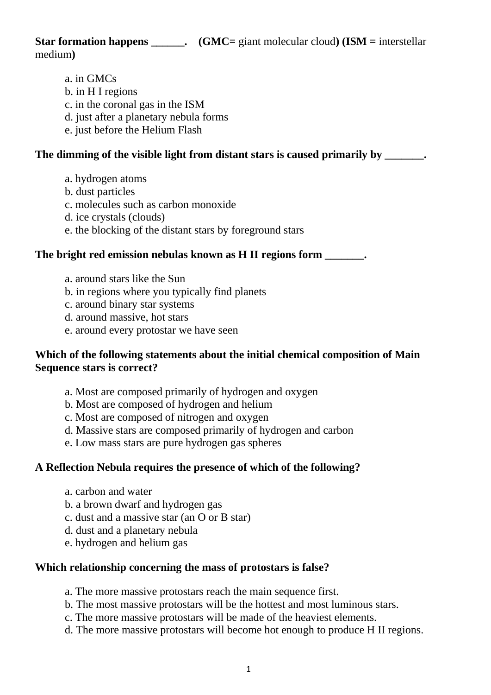**Star formation happens \_\_\_\_\_\_.** (GMC= giant molecular cloud) (ISM = interstellar medium**)**

a. in GMCs b. in H I regions c. in the coronal gas in the ISM d. just after a planetary nebula forms e. just before the Helium Flash

# The dimming of the visible light from distant stars is caused primarily by \_\_\_\_\_\_\_.

- a. hydrogen atoms
- b. dust particles
- c. molecules such as carbon monoxide
- d. ice crystals (clouds)
- e. the blocking of the distant stars by foreground stars

# **The bright red emission nebulas known as H II regions form \_\_\_\_\_\_\_.**

- a. around stars like the Sun
- b. in regions where you typically find planets
- c. around binary star systems
- d. around massive, hot stars
- e. around every protostar we have seen

# **Which of the following statements about the initial chemical composition of Main Sequence stars is correct?**

- a. Most are composed primarily of hydrogen and oxygen
- b. Most are composed of hydrogen and helium
- c. Most are composed of nitrogen and oxygen
- d. Massive stars are composed primarily of hydrogen and carbon
- e. Low mass stars are pure hydrogen gas spheres

# **A Reflection Nebula requires the presence of which of the following?**

- a. carbon and water
- b. a brown dwarf and hydrogen gas
- c. dust and a massive star (an O or B star)
- d. dust and a planetary nebula
- e. hydrogen and helium gas

# **Which relationship concerning the mass of protostars is false?**

- a. The more massive protostars reach the main sequence first.
- b. The most massive protostars will be the hottest and most luminous stars.
- c. The more massive protostars will be made of the heaviest elements.
- d. The more massive protostars will become hot enough to produce H II regions.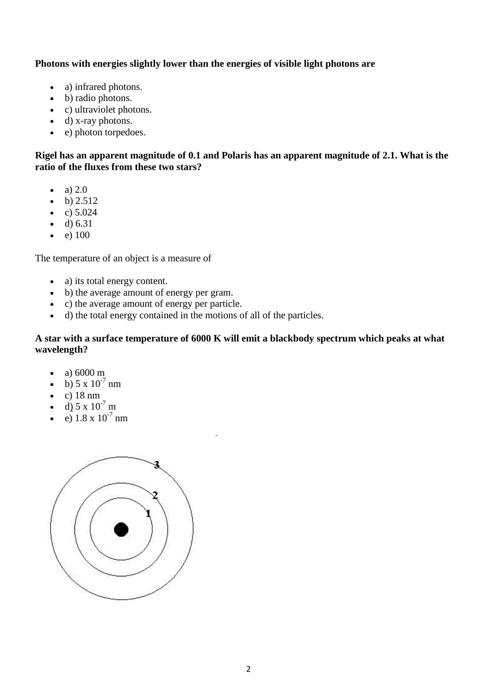# **Photons with energies slightly lower than the energies of visible light photons are**

- a) infrared photons.
- b) radio photons.
- c) ultraviolet photons.
- d) x-ray photons.
- e) photon torpedoes.

## **Rigel has an apparent magnitude of 0.1 and Polaris has an apparent magnitude of 2.1. What is the ratio of the fluxes from these two stars?**

- $\bullet$  a) 2.0
- $\bullet$  b) 2.512
- c)  $5.024$
- $\bullet$  d) 6.31
- e)  $100$

The temperature of an object is a measure of

- a) its total energy content.
- b) the average amount of energy per gram.
- c) the average amount of energy per particle.
- d) the total energy contained in the motions of all of the particles.

#### **A star with a surface temperature of 6000 K will emit a blackbody spectrum which peaks at what wavelength?**

- a)  $6000 \text{ m}$
- b)  $5 \times 10^{-7}$  nm
- $\bullet$  c) 18 nm
- d)  $5 \times 10^{-7}$  m
- $\overline{e}$ ) 1.8 x 10<sup>-7</sup> nm

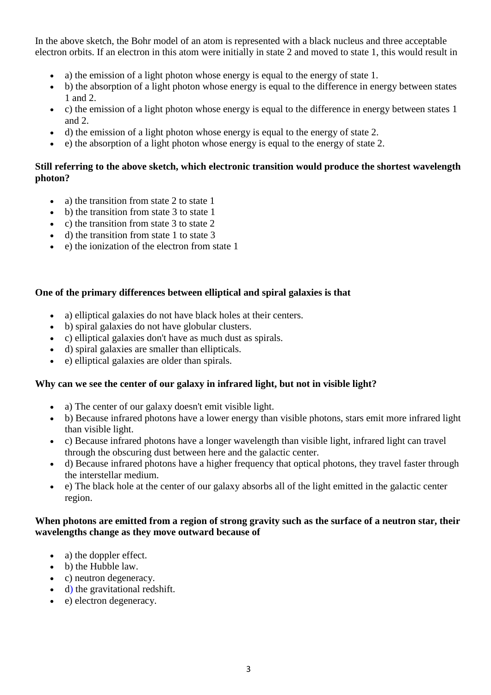In the above sketch, the Bohr model of an atom is represented with a black nucleus and three acceptable electron orbits. If an electron in this atom were initially in state 2 and moved to state 1, this would result in

- a) the emission of a light photon whose energy is equal to the energy of state 1.
- b) the absorption of a light photon whose energy is equal to the difference in energy between states 1 and 2.
- c) the emission of a light photon whose energy is equal to the difference in energy between states 1 and 2.
- d) the emission of a light photon whose energy is equal to the energy of state 2.
- $\bullet$  e) the absorption of a light photon whose energy is equal to the energy of state 2.

# **Still referring to the above sketch, which electronic transition would produce the shortest wavelength photon?**

- a) the transition from state 2 to state 1
- b) the transition from state 3 to state 1
- c) the transition from state  $3$  to state  $2$
- $\bullet$  d) the transition from state 1 to state 3
- e) the ionization of the electron from state 1

# **One of the primary differences between elliptical and spiral galaxies is that**

- a) elliptical galaxies do not have black holes at their centers.
- b) spiral galaxies do not have globular clusters.
- c) elliptical galaxies don't have as much dust as spirals.
- d) spiral galaxies are smaller than ellipticals.
- e) elliptical galaxies are older than spirals.

# **Why can we see the center of our galaxy in infrared light, but not in visible light?**

- a) The center of our galaxy doesn't emit visible light.
- b) Because infrared photons have a lower energy than visible photons, stars emit more infrared light than visible light.
- c) Because infrared photons have a longer wavelength than visible light, infrared light can travel through the obscuring dust between here and the galactic center.
- d) Because infrared photons have a higher frequency that optical photons, they travel faster through the interstellar medium.
- e) The black hole at the center of our galaxy absorbs all of the light emitted in the galactic center region.

# **When photons are emitted from a region of strong gravity such as the surface of a neutron star, their wavelengths change as they move outward because of**

- a) the doppler effect.
- b) the Hubble law.
- c) neutron degeneracy.
- d) the gravitational redshift.
- e) electron degeneracy.